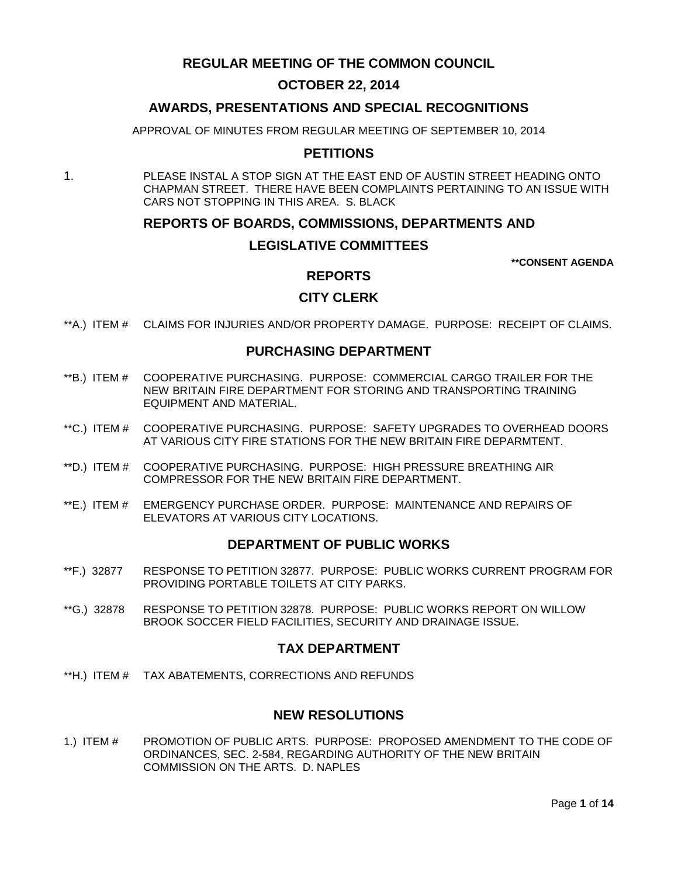# **REGULAR MEETING OF THE COMMON COUNCIL**

## **OCTOBER 22, 2014**

# **AWARDS, PRESENTATIONS AND SPECIAL RECOGNITIONS**

APPROVAL OF MINUTES FROM REGULAR MEETING OF SEPTEMBER 10, 2014

## **PETITIONS**

1. PLEASE INSTAL A STOP SIGN AT THE EAST END OF AUSTIN STREET HEADING ONTO CHAPMAN STREET. THERE HAVE BEEN COMPLAINTS PERTAINING TO AN ISSUE WITH CARS NOT STOPPING IN THIS AREA. S. BLACK

## **REPORTS OF BOARDS, COMMISSIONS, DEPARTMENTS AND**

## **LEGISLATIVE COMMITTEES**

**\*\*CONSENT AGENDA**

# **REPORTS**

# **CITY CLERK**

\*\*A.) ITEM # [CLAIMS FOR INJURIES AND/OR PROPERTY DAMAGE. PURPOSE: RECEIPT OF CLAIMS.](#page-2-0)

## **PURCHASING DEPARTMENT**

- \*\*B.) ITEM # [COOPERATIVE PURCHASING. PURPOSE: COMMERCIAL CARGO TRAILER FOR THE](#page-2-1)  NEW BRITAIN [FIRE DEPARTMENT FOR STORING AND TRANSPORTING TRAINING](#page-2-1)  [EQUIPMENT AND MATERIAL.](#page-2-1)
- \*\*C.) ITEM # [COOPERATIVE PURCHASING. PURPOSE: SAFETY UPGRADES TO OVERHEAD DOORS](#page-3-0)  [AT VARIOUS CITY FIRE STATIONS FOR THE NEW BRITAIN FIRE DEPARMTENT.](#page-3-0)
- \*\*D.) ITEM # [COOPERATIVE PURCHASING. PURPOSE: HIGH PRESSURE BREATHING AIR](#page-4-0)  [COMPRESSOR FOR THE NEW BRITAIN FIRE DEPARTMENT.](#page-4-0)
- \*\*E.) ITEM # [EMERGENCY PURCHASE ORDER. PURPOSE: MAINTENANCE AND REPAIRS OF](#page-4-1)  [ELEVATORS AT VARIOUS CITY LOCATIONS.](#page-4-1)

### **DEPARTMENT OF PUBLIC WORKS**

- \*\*F.) 32877 [RESPONSE TO PETITION 32877. PURPOSE: PUBLIC WORKS CURRENT PROGRAM FOR](#page-5-0)  [PROVIDING PORTABLE TOILETS AT CITY PARKS.](#page-5-0)
- \*\*G.) 32878 [RESPONSE TO PETITION 32878. PURPOSE: PUBLIC WORKS REPORT ON WILLOW](#page-6-0) BROOK SOCCER FIELD [FACILITIES, SECURITY AND DRAINAGE ISSUE.](#page-6-0)

## **TAX DEPARTMENT**

\*\*H.) ITEM # [TAX ABATEMENTS, CORRECTIONS AND REFUNDS](#page-7-0)

## **NEW RESOLUTIONS**

1.) ITEM # [PROMOTION OF PUBLIC ARTS. PURPOSE: PROPOSED AMENDMENT TO THE CODE OF](#page-7-1)  [ORDINANCES, SEC. 2-584, REGARDING AUTHORITY OF THE NEW BRITAIN](#page-7-1)  [COMMISSION ON THE ARTS. D. NAPLES](#page-7-1)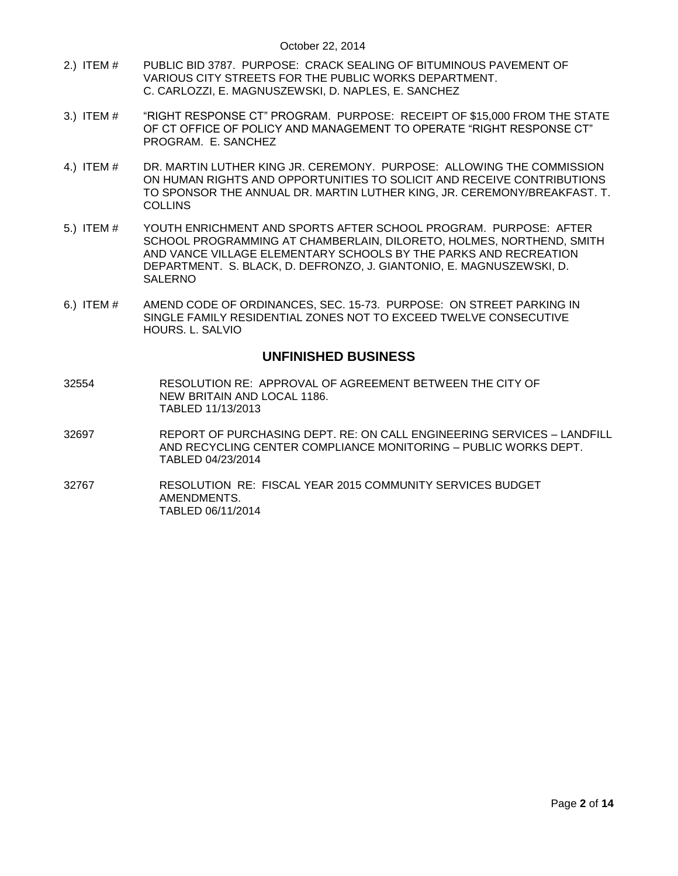- 2.) ITEM # [PUBLIC BID 3787. PURPOSE: CRACK SEALING OF BITUMINOUS PAVEMENT OF](#page-9-0)  [VARIOUS CITY STREETS FOR THE PUBLIC WORKS DEPARTMENT.](#page-9-0)  [C. CARLOZZI, E. MAGNUSZEWSKI, D. NAPLES, E. SANCHEZ](#page-9-0)
- 3.) ITEM # ["RIGHT RESPONSE CT" PROGRAM. PURPOSE: RECEIPT OF \\$15,000 FROM THE STATE](#page-10-0)  [OF CT OFFICE OF POLICY AND MANAGEMENT TO OPERATE "RIGHT RESPONSE CT"](#page-10-0)  [PROGRAM. E. SANCHEZ](#page-10-0)
- 4.) ITEM # [DR. MARTIN LUTHER KING JR. CEREMONY. PURPOSE: ALLOWING THE COMMISSION](#page-10-1)  [ON HUMAN RIGHTS AND OPPORTUNITIES TO SOLICIT AND RECEIVE CONTRIBUTIONS](#page-10-1)  [TO SPONSOR THE ANNUAL DR. MARTIN LUTHER KING, JR. CEREMONY/BREAKFAST. T.](#page-10-1)  **[COLLINS](#page-10-1)**
- 5.) ITEM # [YOUTH ENRICHMENT AND SPORTS AFTER SCHOOL PROGRAM. PURPOSE: AFTER](#page-11-0)  [SCHOOL PROGRAMMING AT CHAMBERLAIN, DILORETO, HOLMES, NORTHEND, SMITH](#page-11-0)  [AND VANCE VILLAGE ELEMENTARY SCHOOLS BY THE PARKS AND RECREATION](#page-11-0)  [DEPARTMENT. S. BLACK, D. DEFRONZO, J. GIANTONIO,](#page-11-0) E. MAGNUSZEWSKI, D. [SALERNO](#page-11-0)
- 6.) ITEM # [AMEND CODE OF ORDINANCES, SEC. 15-73. PURPOSE: ON STREET PARKING IN](#page-12-0)  [SINGLE FAMILY RESIDENTIAL ZONES NOT TO EXCEED TWELVE CONSECUTIVE](#page-12-0)  HOURS. [L. SALVIO](#page-12-0)

## **UNFINISHED BUSINESS**

- 32554 RESOLUTION RE: APPROVAL OF AGREEMENT BETWEEN THE CITY OF NEW BRITAIN AND LOCAL 1186. TABLED 11/13/2013
- 32697 REPORT OF PURCHASING DEPT. RE: ON CALL ENGINEERING SERVICES LANDFILL AND RECYCLING CENTER COMPLIANCE MONITORING – PUBLIC WORKS DEPT. TABLED 04/23/2014
- 32767 RESOLUTION RE: FISCAL YEAR 2015 COMMUNITY SERVICES BUDGET AMENDMENTS. TABLED 06/11/2014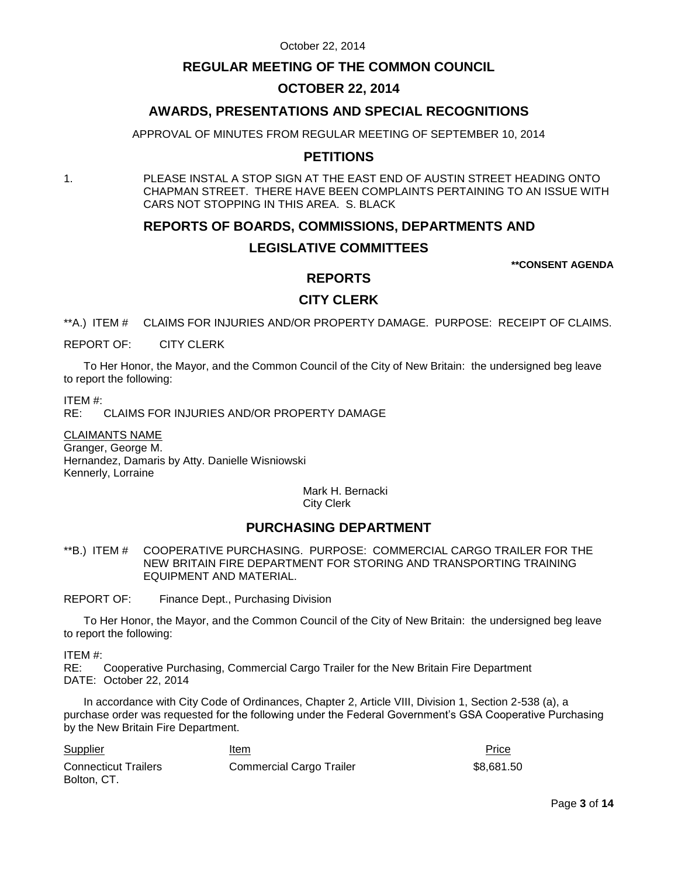# **REGULAR MEETING OF THE COMMON COUNCIL**

# **OCTOBER 22, 2014**

# **AWARDS, PRESENTATIONS AND SPECIAL RECOGNITIONS**

APPROVAL OF MINUTES FROM REGULAR MEETING OF SEPTEMBER 10, 2014

# **PETITIONS**

1. PLEASE INSTAL A STOP SIGN AT THE EAST END OF AUSTIN STREET HEADING ONTO CHAPMAN STREET. THERE HAVE BEEN COMPLAINTS PERTAINING TO AN ISSUE WITH CARS NOT STOPPING IN THIS AREA. S. BLACK

## **REPORTS OF BOARDS, COMMISSIONS, DEPARTMENTS AND**

## **LEGISLATIVE COMMITTEES**

**\*\*CONSENT AGENDA**

## **REPORTS**

# **CITY CLERK**

<span id="page-2-0"></span>\*\*A.) ITEM # CLAIMS FOR INJURIES AND/OR PROPERTY DAMAGE. PURPOSE: RECEIPT OF CLAIMS.

REPORT OF: CITY CLERK

To Her Honor, the Mayor, and the Common Council of the City of New Britain: the undersigned beg leave to report the following:

ITEM #:

CLAIMS FOR INJURIES AND/OR PROPERTY DAMAGE

CLAIMANTS NAME Granger, George M. Hernandez, Damaris by Atty. Danielle Wisniowski Kennerly, Lorraine

> Mark H. Bernacki City Clerk

# **PURCHASING DEPARTMENT**

<span id="page-2-1"></span>\*\*B.) ITEM # COOPERATIVE PURCHASING. PURPOSE: COMMERCIAL CARGO TRAILER FOR THE NEW BRITAIN FIRE DEPARTMENT FOR STORING AND TRANSPORTING TRAINING EQUIPMENT AND MATERIAL.

REPORT OF: Finance Dept., Purchasing Division

To Her Honor, the Mayor, and the Common Council of the City of New Britain: the undersigned beg leave to report the following:

ITEM #:

RE: Cooperative Purchasing, Commercial Cargo Trailer for the New Britain Fire Department DATE: October 22, 2014

In accordance with City Code of Ordinances, Chapter 2, Article VIII, Division 1, Section 2-538 (a), a purchase order was requested for the following under the Federal Government's GSA Cooperative Purchasing by the New Britain Fire Department.

| <b>Supplier</b>                            | <u>Item</u>              | <b>Price</b> |
|--------------------------------------------|--------------------------|--------------|
| <b>Connecticut Trailers</b><br>Bolton, CT. | Commercial Cargo Trailer | \$8,681.50   |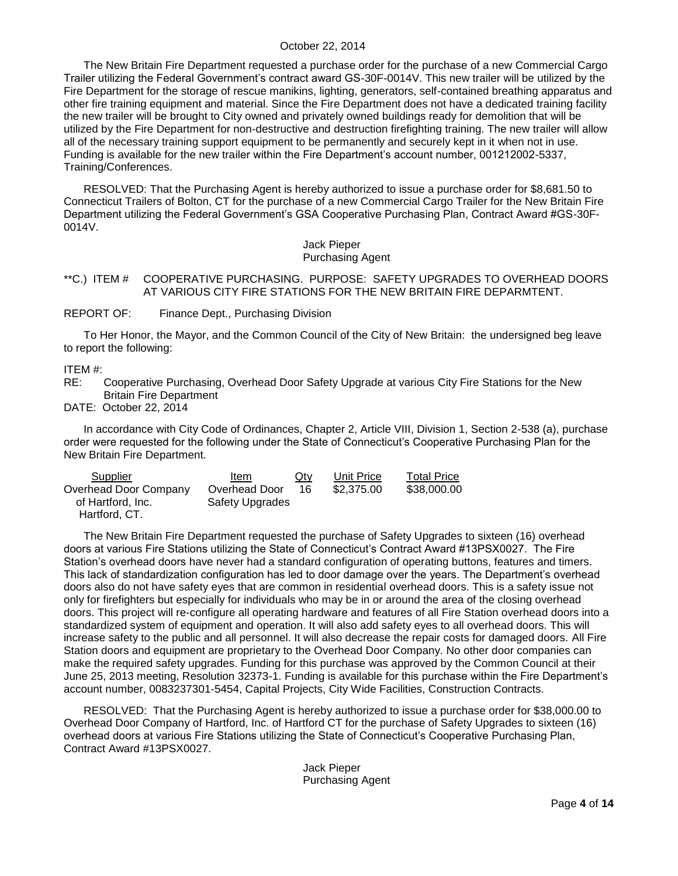The New Britain Fire Department requested a purchase order for the purchase of a new Commercial Cargo Trailer utilizing the Federal Government's contract award GS-30F-0014V. This new trailer will be utilized by the Fire Department for the storage of rescue manikins, lighting, generators, self-contained breathing apparatus and other fire training equipment and material. Since the Fire Department does not have a dedicated training facility the new trailer will be brought to City owned and privately owned buildings ready for demolition that will be utilized by the Fire Department for non-destructive and destruction firefighting training. The new trailer will allow all of the necessary training support equipment to be permanently and securely kept in it when not in use. Funding is available for the new trailer within the Fire Department's account number, 001212002-5337, Training/Conferences.

RESOLVED: That the Purchasing Agent is hereby authorized to issue a purchase order for \$8,681.50 to Connecticut Trailers of Bolton, CT for the purchase of a new Commercial Cargo Trailer for the New Britain Fire Department utilizing the Federal Government's GSA Cooperative Purchasing Plan, Contract Award #GS-30F-0014V.

> Jack Pieper Purchasing Agent

## <span id="page-3-0"></span>\*\*C.) ITEM # COOPERATIVE PURCHASING. PURPOSE: SAFETY UPGRADES TO OVERHEAD DOORS AT VARIOUS CITY FIRE STATIONS FOR THE NEW BRITAIN FIRE DEPARMTENT.

REPORT OF: Finance Dept., Purchasing Division

To Her Honor, the Mayor, and the Common Council of the City of New Britain: the undersigned beg leave to report the following:

ITEM #:

RE: Cooperative Purchasing, Overhead Door Safety Upgrade at various City Fire Stations for the New Britain Fire Department

DATE: October 22, 2014

In accordance with City Code of Ordinances, Chapter 2, Article VIII, Division 1, Section 2-538 (a), purchase order were requested for the following under the State of Connecticut's Cooperative Purchasing Plan for the New Britain Fire Department.

| Supplier              | ltem            | <u>Qty</u> | Unit Price | <b>Total Price</b> |
|-----------------------|-----------------|------------|------------|--------------------|
| Overhead Door Company | Overhead Door   | 16         | \$2,375.00 | \$38,000.00        |
| of Hartford, Inc.     | Safety Upgrades |            |            |                    |
| Hartford, CT.         |                 |            |            |                    |

The New Britain Fire Department requested the purchase of Safety Upgrades to sixteen (16) overhead doors at various Fire Stations utilizing the State of Connecticut's Contract Award #13PSX0027. The Fire Station's overhead doors have never had a standard configuration of operating buttons, features and timers. This lack of standardization configuration has led to door damage over the years. The Department's overhead doors also do not have safety eyes that are common in residential overhead doors. This is a safety issue not only for firefighters but especially for individuals who may be in or around the area of the closing overhead doors. This project will re-configure all operating hardware and features of all Fire Station overhead doors into a standardized system of equipment and operation. It will also add safety eyes to all overhead doors. This will increase safety to the public and all personnel. It will also decrease the repair costs for damaged doors. All Fire Station doors and equipment are proprietary to the Overhead Door Company. No other door companies can make the required safety upgrades. Funding for this purchase was approved by the Common Council at their June 25, 2013 meeting, Resolution 32373-1. Funding is available for this purchase within the Fire Department's account number, 0083237301-5454, Capital Projects, City Wide Facilities, Construction Contracts.

RESOLVED: That the Purchasing Agent is hereby authorized to issue a purchase order for \$38,000.00 to Overhead Door Company of Hartford, Inc. of Hartford CT for the purchase of Safety Upgrades to sixteen (16) overhead doors at various Fire Stations utilizing the State of Connecticut's Cooperative Purchasing Plan, Contract Award #13PSX0027.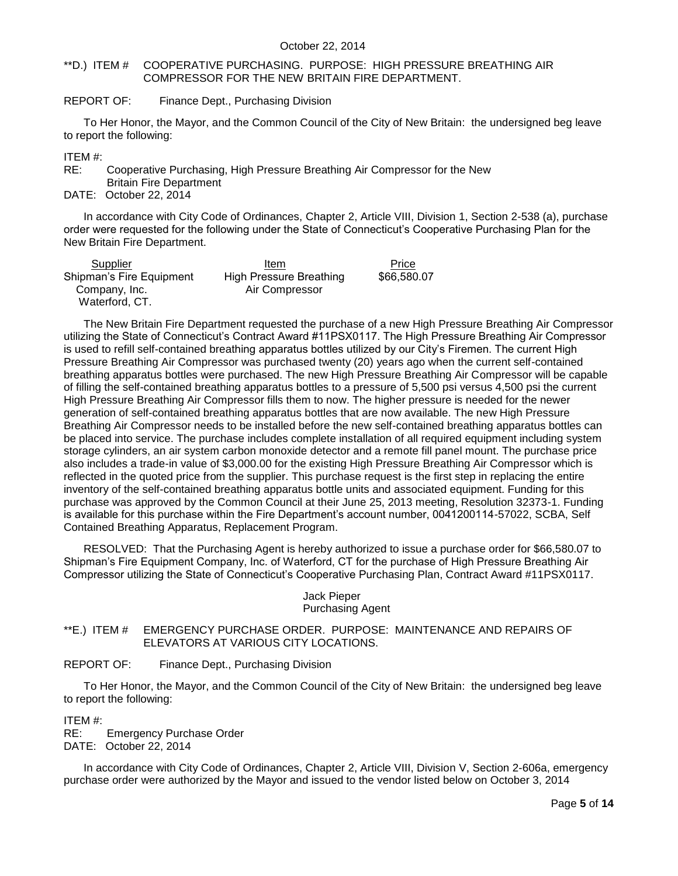#### <span id="page-4-0"></span>\*\*D.) ITEM # COOPERATIVE PURCHASING. PURPOSE: HIGH PRESSURE BREATHING AIR COMPRESSOR FOR THE NEW BRITAIN FIRE DEPARTMENT.

## REPORT OF: Finance Dept., Purchasing Division

To Her Honor, the Mayor, and the Common Council of the City of New Britain: the undersigned beg leave to report the following:

ITEM #:

RE: Cooperative Purchasing, High Pressure Breathing Air Compressor for the New

Britain Fire Department

DATE: October 22, 2014

In accordance with City Code of Ordinances, Chapter 2, Article VIII, Division 1, Section 2-538 (a), purchase order were requested for the following under the State of Connecticut's Cooperative Purchasing Plan for the New Britain Fire Department.

| Supplier                 | Item                    | Price       |
|--------------------------|-------------------------|-------------|
| Shipman's Fire Equipment | High Pressure Breathing | \$66,580.07 |
| Company, Inc.            | Air Compressor          |             |
| Waterford, CT.           |                         |             |

The New Britain Fire Department requested the purchase of a new High Pressure Breathing Air Compressor utilizing the State of Connecticut's Contract Award #11PSX0117. The High Pressure Breathing Air Compressor is used to refill self-contained breathing apparatus bottles utilized by our City's Firemen. The current High Pressure Breathing Air Compressor was purchased twenty (20) years ago when the current self-contained breathing apparatus bottles were purchased. The new High Pressure Breathing Air Compressor will be capable of filling the self-contained breathing apparatus bottles to a pressure of 5,500 psi versus 4,500 psi the current High Pressure Breathing Air Compressor fills them to now. The higher pressure is needed for the newer generation of self-contained breathing apparatus bottles that are now available. The new High Pressure Breathing Air Compressor needs to be installed before the new self-contained breathing apparatus bottles can be placed into service. The purchase includes complete installation of all required equipment including system storage cylinders, an air system carbon monoxide detector and a remote fill panel mount. The purchase price also includes a trade-in value of \$3,000.00 for the existing High Pressure Breathing Air Compressor which is reflected in the quoted price from the supplier. This purchase request is the first step in replacing the entire inventory of the self-contained breathing apparatus bottle units and associated equipment. Funding for this purchase was approved by the Common Council at their June 25, 2013 meeting, Resolution 32373-1. Funding is available for this purchase within the Fire Department's account number, 0041200114-57022, SCBA, Self Contained Breathing Apparatus, Replacement Program.

RESOLVED: That the Purchasing Agent is hereby authorized to issue a purchase order for \$66,580.07 to Shipman's Fire Equipment Company, Inc. of Waterford, CT for the purchase of High Pressure Breathing Air Compressor utilizing the State of Connecticut's Cooperative Purchasing Plan, Contract Award #11PSX0117.

#### Jack Pieper Purchasing Agent

<span id="page-4-1"></span>\*\*E.) ITEM # EMERGENCY PURCHASE ORDER. PURPOSE: MAINTENANCE AND REPAIRS OF ELEVATORS AT VARIOUS CITY LOCATIONS.

REPORT OF: Finance Dept., Purchasing Division

To Her Honor, the Mayor, and the Common Council of the City of New Britain: the undersigned beg leave to report the following:

ITEM #:

RE: Emergency Purchase Order DATE: October 22, 2014

In accordance with City Code of Ordinances, Chapter 2, Article VIII, Division V, Section 2-606a, emergency purchase order were authorized by the Mayor and issued to the vendor listed below on October 3, 2014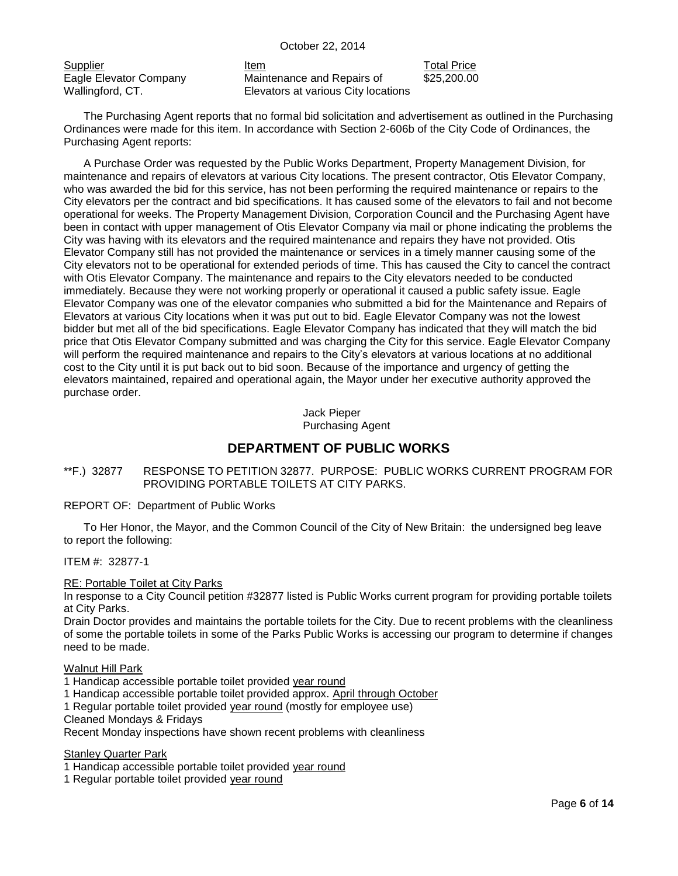Supplier **Item** Item Total Price Eagle Elevator Company Wallingford, CT.

Maintenance and Repairs of Elevators at various City locations \$25,200.00

The Purchasing Agent reports that no formal bid solicitation and advertisement as outlined in the Purchasing Ordinances were made for this item. In accordance with Section 2-606b of the City Code of Ordinances, the Purchasing Agent reports:

A Purchase Order was requested by the Public Works Department, Property Management Division, for maintenance and repairs of elevators at various City locations. The present contractor, Otis Elevator Company, who was awarded the bid for this service, has not been performing the required maintenance or repairs to the City elevators per the contract and bid specifications. It has caused some of the elevators to fail and not become operational for weeks. The Property Management Division, Corporation Council and the Purchasing Agent have been in contact with upper management of Otis Elevator Company via mail or phone indicating the problems the City was having with its elevators and the required maintenance and repairs they have not provided. Otis Elevator Company still has not provided the maintenance or services in a timely manner causing some of the City elevators not to be operational for extended periods of time. This has caused the City to cancel the contract with Otis Elevator Company. The maintenance and repairs to the City elevators needed to be conducted immediately. Because they were not working properly or operational it caused a public safety issue. Eagle Elevator Company was one of the elevator companies who submitted a bid for the Maintenance and Repairs of Elevators at various City locations when it was put out to bid. Eagle Elevator Company was not the lowest bidder but met all of the bid specifications. Eagle Elevator Company has indicated that they will match the bid price that Otis Elevator Company submitted and was charging the City for this service. Eagle Elevator Company will perform the required maintenance and repairs to the City's elevators at various locations at no additional cost to the City until it is put back out to bid soon. Because of the importance and urgency of getting the elevators maintained, repaired and operational again, the Mayor under her executive authority approved the purchase order.

> Jack Pieper Purchasing Agent

# **DEPARTMENT OF PUBLIC WORKS**

<span id="page-5-0"></span>\*\*F.) 32877 RESPONSE TO PETITION 32877. PURPOSE: PUBLIC WORKS CURRENT PROGRAM FOR PROVIDING PORTABLE TOILETS AT CITY PARKS.

REPORT OF: Department of Public Works

To Her Honor, the Mayor, and the Common Council of the City of New Britain: the undersigned beg leave to report the following:

ITEM #: 32877-1

RE: Portable Toilet at City Parks

In response to a City Council petition #32877 listed is Public Works current program for providing portable toilets at City Parks.

Drain Doctor provides and maintains the portable toilets for the City. Due to recent problems with the cleanliness of some the portable toilets in some of the Parks Public Works is accessing our program to determine if changes need to be made.

Walnut Hill Park

- 1 Handicap accessible portable toilet provided year round
- 1 Handicap accessible portable toilet provided approx. April through October
- 1 Regular portable toilet provided year round (mostly for employee use)

Cleaned Mondays & Fridays

Recent Monday inspections have shown recent problems with cleanliness

Stanley Quarter Park

- 1 Handicap accessible portable toilet provided year round
- 1 Regular portable toilet provided year round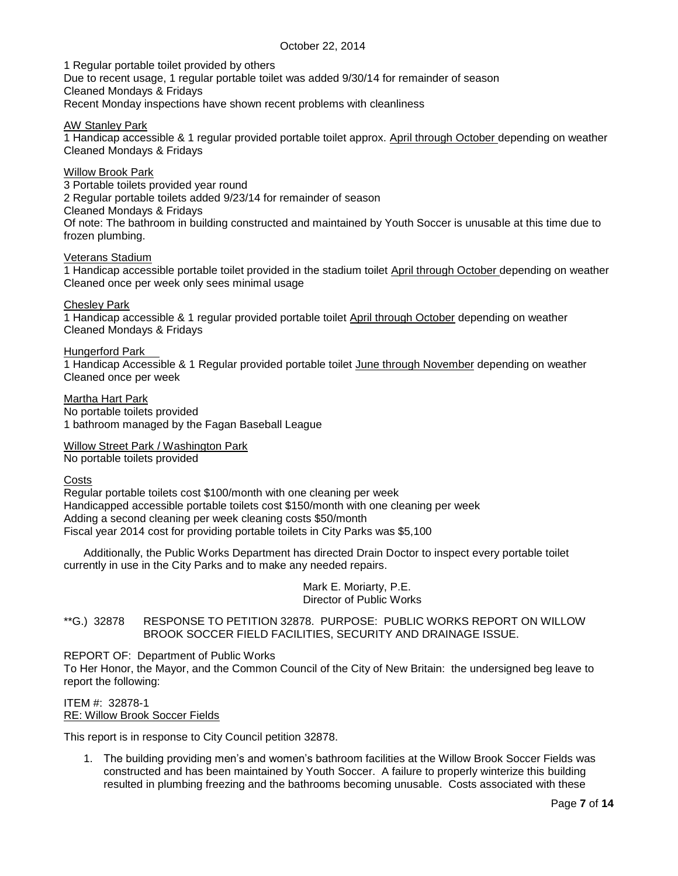1 Regular portable toilet provided by others

Due to recent usage, 1 regular portable toilet was added 9/30/14 for remainder of season Cleaned Mondays & Fridays Recent Monday inspections have shown recent problems with cleanliness

AW Stanley Park

1 Handicap accessible & 1 regular provided portable toilet approx. April through October depending on weather Cleaned Mondays & Fridays

Willow Brook Park

3 Portable toilets provided year round 2 Regular portable toilets added 9/23/14 for remainder of season Cleaned Mondays & Fridays Of note: The bathroom in building constructed and maintained by Youth Soccer is unusable at this time due to frozen plumbing.

Veterans Stadium

1 Handicap accessible portable toilet provided in the stadium toilet April through October depending on weather Cleaned once per week only sees minimal usage

Chesley Park

1 Handicap accessible & 1 regular provided portable toilet April through October depending on weather Cleaned Mondays & Fridays

Hungerford Park

1 Handicap Accessible & 1 Regular provided portable toilet June through November depending on weather Cleaned once per week

Martha Hart Park No portable toilets provided 1 bathroom managed by the Fagan Baseball League

Willow Street Park / Washington Park No portable toilets provided

Costs

Regular portable toilets cost \$100/month with one cleaning per week Handicapped accessible portable toilets cost \$150/month with one cleaning per week Adding a second cleaning per week cleaning costs \$50/month Fiscal year 2014 cost for providing portable toilets in City Parks was \$5,100

Additionally, the Public Works Department has directed Drain Doctor to inspect every portable toilet currently in use in the City Parks and to make any needed repairs.

> Mark E. Moriarty, P.E. Director of Public Works

<span id="page-6-0"></span>\*\*G.) 32878 RESPONSE TO PETITION 32878. PURPOSE: PUBLIC WORKS REPORT ON WILLOW BROOK SOCCER FIELD FACILITIES, SECURITY AND DRAINAGE ISSUE.

REPORT OF: Department of Public Works

To Her Honor, the Mayor, and the Common Council of the City of New Britain: the undersigned beg leave to report the following:

ITEM #: 32878-1 RE: Willow Brook Soccer Fields

This report is in response to City Council petition 32878.

1. The building providing men's and women's bathroom facilities at the Willow Brook Soccer Fields was constructed and has been maintained by Youth Soccer. A failure to properly winterize this building resulted in plumbing freezing and the bathrooms becoming unusable. Costs associated with these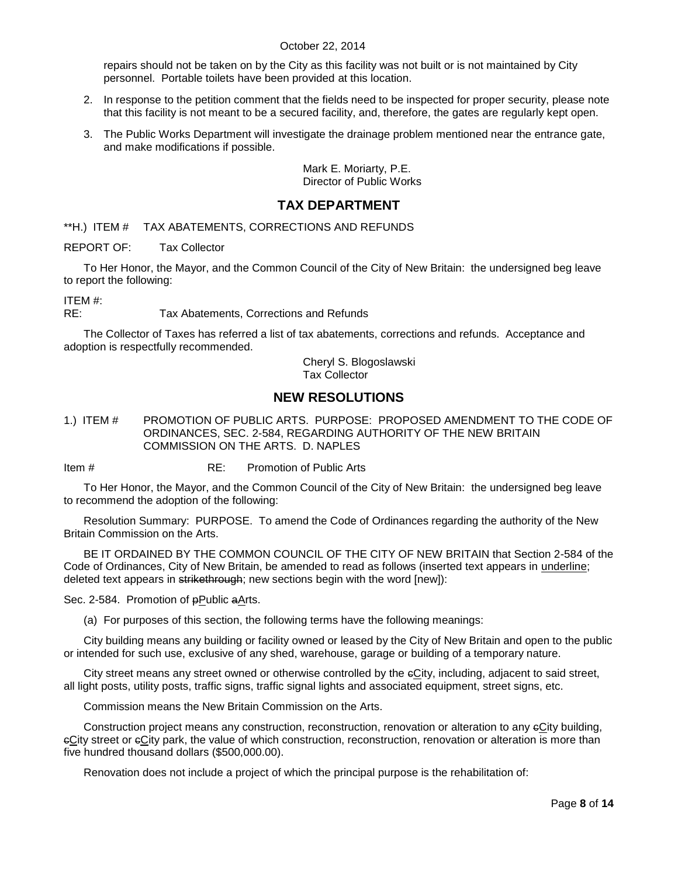repairs should not be taken on by the City as this facility was not built or is not maintained by City personnel. Portable toilets have been provided at this location.

- 2. In response to the petition comment that the fields need to be inspected for proper security, please note that this facility is not meant to be a secured facility, and, therefore, the gates are regularly kept open.
- 3. The Public Works Department will investigate the drainage problem mentioned near the entrance gate, and make modifications if possible.

Mark E. Moriarty, P.E. Director of Public Works

# **TAX DEPARTMENT**

<span id="page-7-0"></span>\*\*H.) ITEM # TAX ABATEMENTS, CORRECTIONS AND REFUNDS

REPORT OF: Tax Collector

To Her Honor, the Mayor, and the Common Council of the City of New Britain: the undersigned beg leave to report the following:

ITEM #:

RE: Tax Abatements, Corrections and Refunds

The Collector of Taxes has referred a list of tax abatements, corrections and refunds. Acceptance and adoption is respectfully recommended.

> Cheryl S. Blogoslawski Tax Collector

# **NEW RESOLUTIONS**

<span id="page-7-1"></span>1.) ITEM # PROMOTION OF PUBLIC ARTS. PURPOSE: PROPOSED AMENDMENT TO THE CODE OF ORDINANCES, SEC. 2-584, REGARDING AUTHORITY OF THE NEW BRITAIN COMMISSION ON THE ARTS. D. NAPLES

Item # RE: Promotion of Public Arts

To Her Honor, the Mayor, and the Common Council of the City of New Britain: the undersigned beg leave to recommend the adoption of the following:

Resolution Summary: PURPOSE. To amend the Code of Ordinances regarding the authority of the New Britain Commission on the Arts.

BE IT ORDAINED BY THE COMMON COUNCIL OF THE CITY OF NEW BRITAIN that Section 2-584 of the Code of Ordinances, City of New Britain, be amended to read as follows (inserted text appears in underline; deleted text appears in strikethrough; new sections begin with the word [new]):

Sec. 2-584. Promotion of **pPublic aArts.** 

(a) For purposes of this section, the following terms have the following meanings:

City building means any building or facility owned or leased by the City of New Britain and open to the public or intended for such use, exclusive of any shed, warehouse, garage or building of a temporary nature.

City street means any street owned or otherwise controlled by the eCity, including, adjacent to said street, all light posts, utility posts, traffic signs, traffic signal lights and associated equipment, street signs, etc.

Commission means the New Britain Commission on the Arts.

Construction project means any construction, reconstruction, renovation or alteration to any cCity building, cCity street or cCity park, the value of which construction, reconstruction, renovation or alteration is more than five hundred thousand dollars (\$500,000.00).

Renovation does not include a project of which the principal purpose is the rehabilitation of: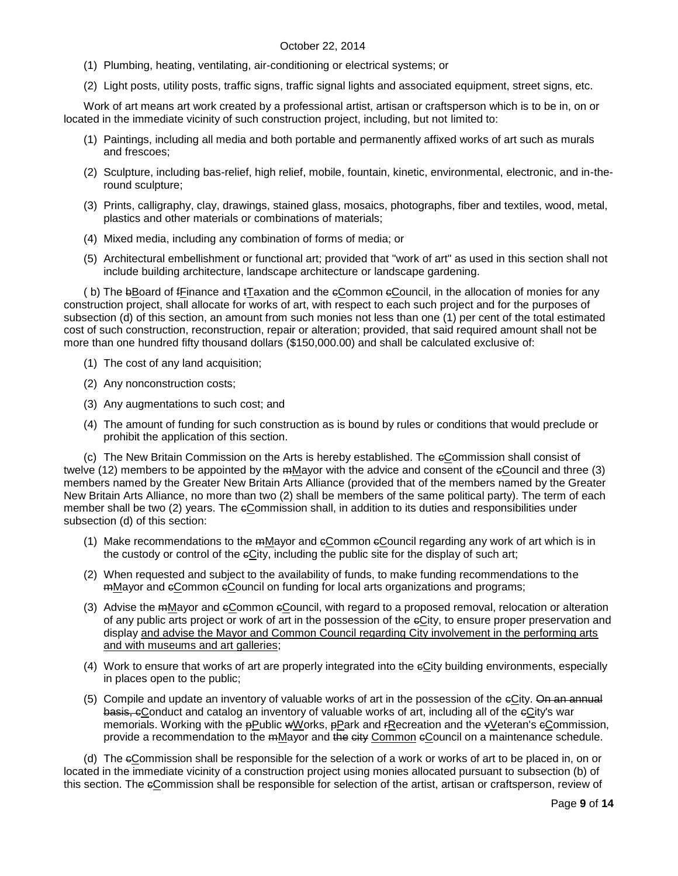- (1) Plumbing, heating, ventilating, air-conditioning or electrical systems; or
- (2) Light posts, utility posts, traffic signs, traffic signal lights and associated equipment, street signs, etc.

Work of art means art work created by a professional artist, artisan or craftsperson which is to be in, on or located in the immediate vicinity of such construction project, including, but not limited to:

- (1) Paintings, including all media and both portable and permanently affixed works of art such as murals and frescoes;
- (2) Sculpture, including bas-relief, high relief, mobile, fountain, kinetic, environmental, electronic, and in-theround sculpture;
- (3) Prints, calligraphy, clay, drawings, stained glass, mosaics, photographs, fiber and textiles, wood, metal, plastics and other materials or combinations of materials;
- (4) Mixed media, including any combination of forms of media; or
- (5) Architectural embellishment or functional art; provided that "work of art" as used in this section shall not include building architecture, landscape architecture or landscape gardening.

( b) The bBoard of fFinance and tTaxation and the cCommon cCouncil, in the allocation of monies for any construction project, shall allocate for works of art, with respect to each such project and for the purposes of subsection (d) of this section, an amount from such monies not less than one (1) per cent of the total estimated cost of such construction, reconstruction, repair or alteration; provided, that said required amount shall not be more than one hundred fifty thousand dollars (\$150,000.00) and shall be calculated exclusive of:

- (1) The cost of any land acquisition;
- (2) Any nonconstruction costs;
- (3) Any augmentations to such cost; and
- (4) The amount of funding for such construction as is bound by rules or conditions that would preclude or prohibit the application of this section.

(c) The New Britain Commission on the Arts is hereby established. The cCommission shall consist of twelve (12) members to be appointed by the mMayor with the advice and consent of the eCouncil and three (3) members named by the Greater New Britain Arts Alliance (provided that of the members named by the Greater New Britain Arts Alliance, no more than two (2) shall be members of the same political party). The term of each member shall be two (2) years. The eCommission shall, in addition to its duties and responsibilities under subsection (d) of this section:

- (1) Make recommendations to the  $m_{\text{M}}$ ayor and  $e_{\text{C}}$ ommon  $e_{\text{C}}$ ouncil regarding any work of art which is in the custody or control of the cCity, including the public site for the display of such art;
- (2) When requested and subject to the availability of funds, to make funding recommendations to the  $m$ Mayor and eCommon eCouncil on funding for local arts organizations and programs;
- (3) Advise the mMayor and cCommon cCouncil, with regard to a proposed removal, relocation or alteration of any public arts project or work of art in the possession of the eCity, to ensure proper preservation and display and advise the Mayor and Common Council regarding City involvement in the performing arts and with museums and art galleries;
- (4) Work to ensure that works of art are properly integrated into the cCity building environments, especially in places open to the public;
- (5) Compile and update an inventory of valuable works of art in the possession of the eCity. On an annual basis, eConduct and catalog an inventory of valuable works of art, including all of the eCity's war memorials. Working with the pPublic wWorks, pPark and rRecreation and the vVeteran's eCommission, provide a recommendation to the mMayor and the eity Common eCouncil on a maintenance schedule.

(d) The cCommission shall be responsible for the selection of a work or works of art to be placed in, on or located in the immediate vicinity of a construction project using monies allocated pursuant to subsection (b) of this section. The eCommission shall be responsible for selection of the artist, artisan or craftsperson, review of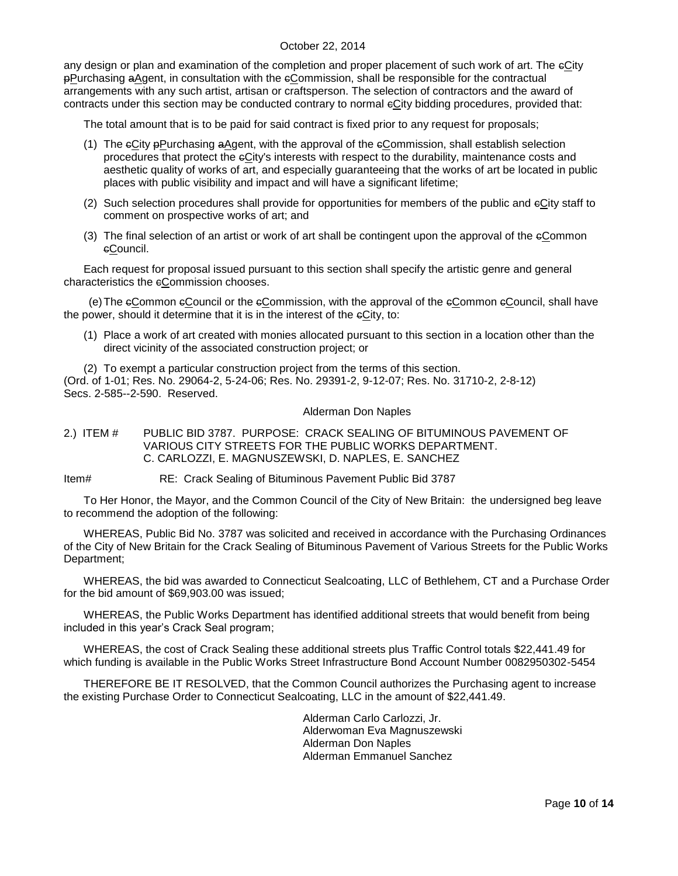any design or plan and examination of the completion and proper placement of such work of art. The eCity pPurchasing aAgent, in consultation with the cCommission, shall be responsible for the contractual arrangements with any such artist, artisan or craftsperson. The selection of contractors and the award of contracts under this section may be conducted contrary to normal eCity bidding procedures, provided that:

The total amount that is to be paid for said contract is fixed prior to any request for proposals;

- (1) The cCity pPurchasing aAgent, with the approval of the cCommission, shall establish selection procedures that protect the cCity's interests with respect to the durability, maintenance costs and aesthetic quality of works of art, and especially guaranteeing that the works of art be located in public places with public visibility and impact and will have a significant lifetime;
- (2) Such selection procedures shall provide for opportunities for members of the public and cCity staff to comment on prospective works of art; and
- (3) The final selection of an artist or work of art shall be contingent upon the approval of the cCommon cCouncil.

Each request for proposal issued pursuant to this section shall specify the artistic genre and general characteristics the eCommission chooses.

(e)The cCommon cCouncil or the cCommission, with the approval of the cCommon cCouncil, shall have the power, should it determine that it is in the interest of the  $\epsilon$ City, to:

(1) Place a work of art created with monies allocated pursuant to this section in a location other than the direct vicinity of the associated construction project; or

(2) To exempt a particular construction project from the terms of this section. (Ord. of 1-01; Res. No. 29064-2, 5-24-06; Res. No. 29391-2, 9-12-07; Res. No. 31710-2, 2-8-12) Secs. 2-585--2-590. Reserved.

#### Alderman Don Naples

### <span id="page-9-0"></span>2.) ITEM # PUBLIC BID 3787. PURPOSE: CRACK SEALING OF BITUMINOUS PAVEMENT OF VARIOUS CITY STREETS FOR THE PUBLIC WORKS DEPARTMENT. C. CARLOZZI, E. MAGNUSZEWSKI, D. NAPLES, E. SANCHEZ

Item# RE: Crack Sealing of Bituminous Pavement Public Bid 3787

To Her Honor, the Mayor, and the Common Council of the City of New Britain: the undersigned beg leave to recommend the adoption of the following:

WHEREAS, Public Bid No. 3787 was solicited and received in accordance with the Purchasing Ordinances of the City of New Britain for the Crack Sealing of Bituminous Pavement of Various Streets for the Public Works Department;

WHEREAS, the bid was awarded to Connecticut Sealcoating, LLC of Bethlehem, CT and a Purchase Order for the bid amount of \$69,903.00 was issued;

WHEREAS, the Public Works Department has identified additional streets that would benefit from being included in this year's Crack Seal program;

WHEREAS, the cost of Crack Sealing these additional streets plus Traffic Control totals \$22,441.49 for which funding is available in the Public Works Street Infrastructure Bond Account Number 0082950302-5454

THEREFORE BE IT RESOLVED, that the Common Council authorizes the Purchasing agent to increase the existing Purchase Order to Connecticut Sealcoating, LLC in the amount of \$22,441.49.

> Alderman Carlo Carlozzi, Jr. Alderwoman Eva Magnuszewski Alderman Don Naples Alderman Emmanuel Sanchez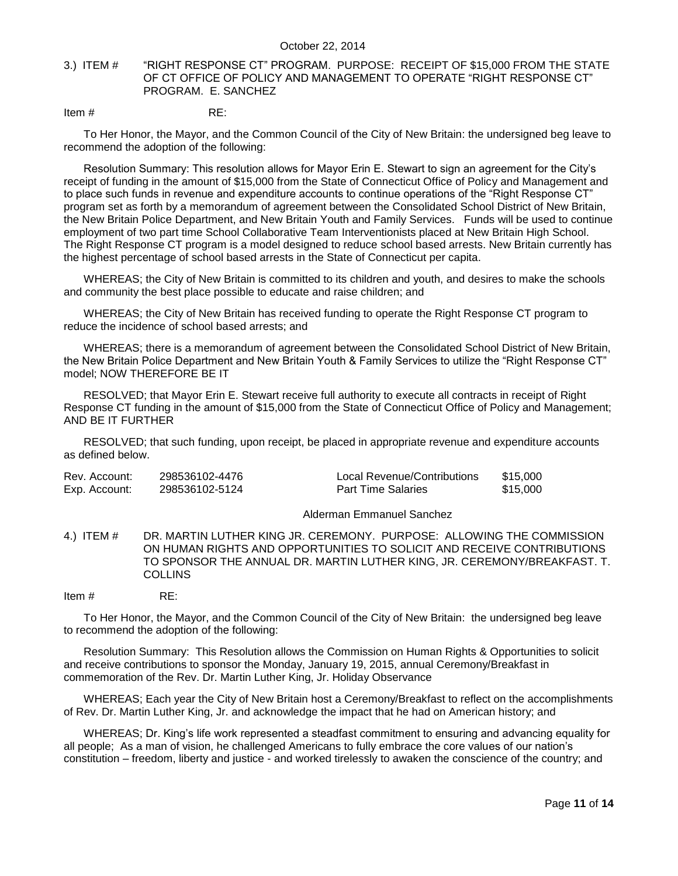### <span id="page-10-0"></span>3.) ITEM # "RIGHT RESPONSE CT" PROGRAM. PURPOSE: RECEIPT OF \$15,000 FROM THE STATE OF CT OFFICE OF POLICY AND MANAGEMENT TO OPERATE "RIGHT RESPONSE CT" PROGRAM. E. SANCHEZ

#### Item  $\#$  RE:

To Her Honor, the Mayor, and the Common Council of the City of New Britain: the undersigned beg leave to recommend the adoption of the following:

Resolution Summary: This resolution allows for Mayor Erin E. Stewart to sign an agreement for the City's receipt of funding in the amount of \$15,000 from the State of Connecticut Office of Policy and Management and to place such funds in revenue and expenditure accounts to continue operations of the "Right Response CT" program set as forth by a memorandum of agreement between the Consolidated School District of New Britain, the New Britain Police Department, and New Britain Youth and Family Services. Funds will be used to continue employment of two part time School Collaborative Team Interventionists placed at New Britain High School. The Right Response CT program is a model designed to reduce school based arrests. New Britain currently has the highest percentage of school based arrests in the State of Connecticut per capita.

WHEREAS; the City of New Britain is committed to its children and youth, and desires to make the schools and community the best place possible to educate and raise children; and

WHEREAS; the City of New Britain has received funding to operate the Right Response CT program to reduce the incidence of school based arrests; and

WHEREAS; there is a memorandum of agreement between the Consolidated School District of New Britain, the New Britain Police Department and New Britain Youth & Family Services to utilize the "Right Response CT" model; NOW THEREFORE BE IT

RESOLVED; that Mayor Erin E. Stewart receive full authority to execute all contracts in receipt of Right Response CT funding in the amount of \$15,000 from the State of Connecticut Office of Policy and Management; AND BE IT FURTHER

RESOLVED; that such funding, upon receipt, be placed in appropriate revenue and expenditure accounts as defined below.

| Rev. Account: | 298536102-4476 | Local Revenue/Contributions | \$15.000 |
|---------------|----------------|-----------------------------|----------|
| Exp. Account: | 298536102-5124 | <b>Part Time Salaries</b>   | \$15.000 |

### Alderman Emmanuel Sanchez

- <span id="page-10-1"></span>4.) ITEM # DR. MARTIN LUTHER KING JR. CEREMONY. PURPOSE: ALLOWING THE COMMISSION ON HUMAN RIGHTS AND OPPORTUNITIES TO SOLICIT AND RECEIVE CONTRIBUTIONS TO SPONSOR THE ANNUAL DR. MARTIN LUTHER KING, JR. CEREMONY/BREAKFAST. T. **COLLINS**
- Item # RE:

To Her Honor, the Mayor, and the Common Council of the City of New Britain: the undersigned beg leave to recommend the adoption of the following:

Resolution Summary: This Resolution allows the Commission on Human Rights & Opportunities to solicit and receive contributions to sponsor the Monday, January 19, 2015, annual Ceremony/Breakfast in commemoration of the Rev. Dr. Martin Luther King, Jr. Holiday Observance

WHEREAS; Each year the City of New Britain host a Ceremony/Breakfast to reflect on the accomplishments of Rev. Dr. Martin Luther King, Jr. and acknowledge the impact that he had on American history; and

WHEREAS; Dr. King's life work represented a steadfast commitment to ensuring and advancing equality for all people; As a man of vision, he challenged Americans to fully embrace the core values of our nation's constitution – freedom, liberty and justice - and worked tirelessly to awaken the conscience of the country; and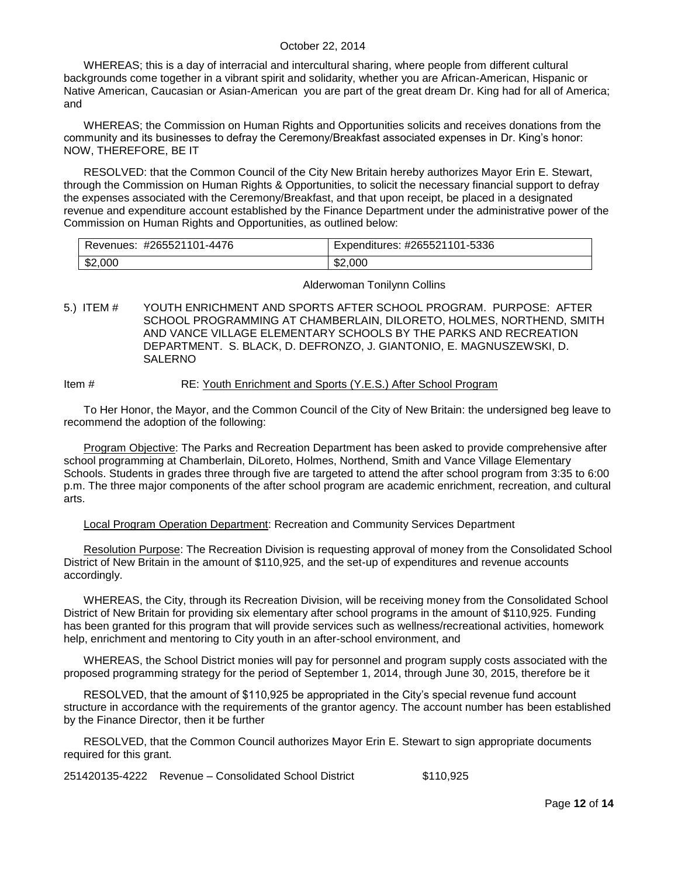WHEREAS; this is a day of interracial and intercultural sharing, where people from different cultural backgrounds come together in a vibrant spirit and solidarity, whether you are African-American, Hispanic or Native American, Caucasian or Asian-American you are part of the great dream Dr. King had for all of America; and

WHEREAS; the Commission on Human Rights and Opportunities solicits and receives donations from the community and its businesses to defray the Ceremony/Breakfast associated expenses in Dr. King's honor: NOW, THEREFORE, BE IT

RESOLVED: that the Common Council of the City New Britain hereby authorizes Mayor Erin E. Stewart, through the Commission on Human Rights & Opportunities, to solicit the necessary financial support to defray the expenses associated with the Ceremony/Breakfast, and that upon receipt, be placed in a designated revenue and expenditure account established by the Finance Department under the administrative power of the Commission on Human Rights and Opportunities, as outlined below:

| <sup>.</sup> #265521101-4476<br>Revenues: | Expenditures: #265521101-5336 |
|-------------------------------------------|-------------------------------|
| \$2,000                                   | \$2,000                       |

#### Alderwoman Tonilynn Collins

<span id="page-11-0"></span>5.) ITEM # YOUTH ENRICHMENT AND SPORTS AFTER SCHOOL PROGRAM. PURPOSE: AFTER SCHOOL PROGRAMMING AT CHAMBERLAIN, DILORETO, HOLMES, NORTHEND, SMITH AND VANCE VILLAGE ELEMENTARY SCHOOLS BY THE PARKS AND RECREATION DEPARTMENT. S. BLACK, D. DEFRONZO, J. GIANTONIO, E. MAGNUSZEWSKI, D. SALERNO

### Item # RE: Youth Enrichment and Sports (Y.E.S.) After School Program

To Her Honor, the Mayor, and the Common Council of the City of New Britain: the undersigned beg leave to recommend the adoption of the following:

Program Objective: The Parks and Recreation Department has been asked to provide comprehensive after school programming at Chamberlain, DiLoreto, Holmes, Northend, Smith and Vance Village Elementary Schools. Students in grades three through five are targeted to attend the after school program from 3:35 to 6:00 p.m. The three major components of the after school program are academic enrichment, recreation, and cultural arts.

### Local Program Operation Department: Recreation and Community Services Department

Resolution Purpose: The Recreation Division is requesting approval of money from the Consolidated School District of New Britain in the amount of \$110,925, and the set-up of expenditures and revenue accounts accordingly.

WHEREAS, the City, through its Recreation Division, will be receiving money from the Consolidated School District of New Britain for providing six elementary after school programs in the amount of \$110,925. Funding has been granted for this program that will provide services such as wellness/recreational activities, homework help, enrichment and mentoring to City youth in an after-school environment, and

WHEREAS, the School District monies will pay for personnel and program supply costs associated with the proposed programming strategy for the period of September 1, 2014, through June 30, 2015, therefore be it

RESOLVED, that the amount of \$110,925 be appropriated in the City's special revenue fund account structure in accordance with the requirements of the grantor agency. The account number has been established by the Finance Director, then it be further

RESOLVED, that the Common Council authorizes Mayor Erin E. Stewart to sign appropriate documents required for this grant.

251420135-4222 Revenue – Consolidated School District \$110,925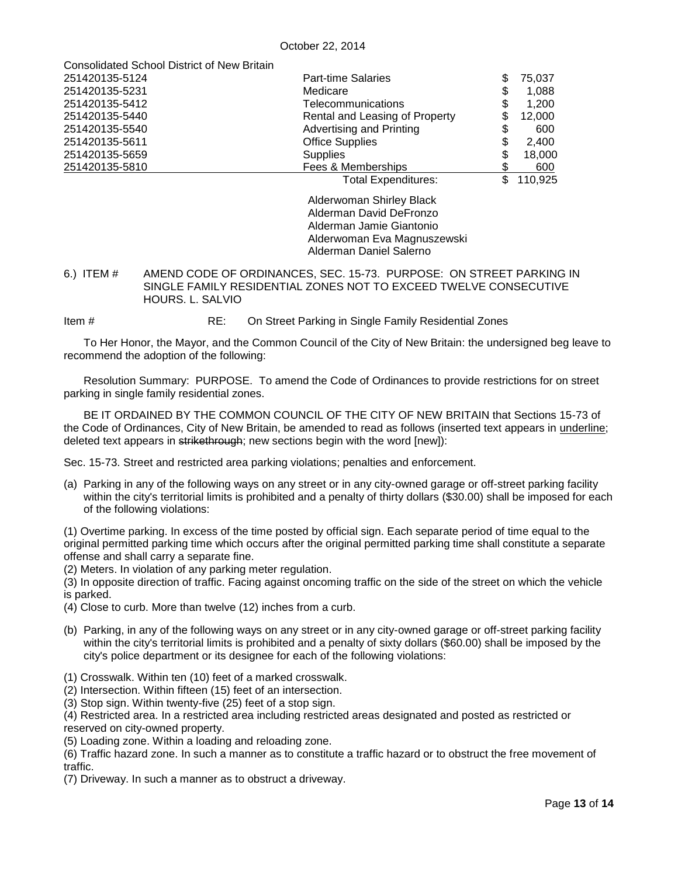| <b>Consolidated School District of New Britain</b> |                                |    |         |
|----------------------------------------------------|--------------------------------|----|---------|
| 251420135-5124                                     | <b>Part-time Salaries</b>      | S  | 75.037  |
| 251420135-5231                                     | Medicare                       | S  | 1,088   |
| 251420135-5412                                     | Telecommunications             | \$ | 1.200   |
| 251420135-5440                                     | Rental and Leasing of Property | S  | 12.000  |
| 251420135-5540                                     | Advertising and Printing       |    | 600     |
| 251420135-5611                                     | <b>Office Supplies</b>         |    | 2.400   |
| 251420135-5659                                     | <b>Supplies</b>                |    | 18,000  |
| 251420135-5810                                     | Fees & Memberships             |    | 600     |
|                                                    | <b>Total Expenditures:</b>     |    | 110,925 |
|                                                    |                                |    |         |

Alderwoman Shirley Black Alderman David DeFronzo Alderman Jamie Giantonio Alderwoman Eva Magnuszewski Alderman Daniel Salerno

<span id="page-12-0"></span>6.) ITEM # AMEND CODE OF ORDINANCES, SEC. 15-73. PURPOSE: ON STREET PARKING IN SINGLE FAMILY RESIDENTIAL ZONES NOT TO EXCEED TWELVE CONSECUTIVE HOURS. L. SALVIO

Item # RE: On Street Parking in Single Family Residential Zones

To Her Honor, the Mayor, and the Common Council of the City of New Britain: the undersigned beg leave to recommend the adoption of the following:

Resolution Summary: PURPOSE. To amend the Code of Ordinances to provide restrictions for on street parking in single family residential zones.

BE IT ORDAINED BY THE COMMON COUNCIL OF THE CITY OF NEW BRITAIN that Sections 15-73 of the Code of Ordinances, City of New Britain, be amended to read as follows (inserted text appears in underline; deleted text appears in strikethrough; new sections begin with the word [new]):

Sec. 15-73. Street and restricted area parking violations; penalties and enforcement.

(a) Parking in any of the following ways on any street or in any city-owned garage or off-street parking facility within the city's territorial limits is prohibited and a penalty of thirty dollars (\$30.00) shall be imposed for each of the following violations:

(1) Overtime parking. In excess of the time posted by official sign. Each separate period of time equal to the original permitted parking time which occurs after the original permitted parking time shall constitute a separate offense and shall carry a separate fine.

(2) Meters. In violation of any parking meter regulation.

(3) In opposite direction of traffic. Facing against oncoming traffic on the side of the street on which the vehicle is parked.

- (4) Close to curb. More than twelve (12) inches from a curb.
- (b) Parking, in any of the following ways on any street or in any city-owned garage or off-street parking facility within the city's territorial limits is prohibited and a penalty of sixty dollars (\$60.00) shall be imposed by the city's police department or its designee for each of the following violations:
- (1) Crosswalk. Within ten (10) feet of a marked crosswalk.

(2) Intersection. Within fifteen (15) feet of an intersection.

(3) Stop sign. Within twenty-five (25) feet of a stop sign.

(4) Restricted area. In a restricted area including restricted areas designated and posted as restricted or

reserved on city-owned property.

(5) Loading zone. Within a loading and reloading zone.

(6) Traffic hazard zone. In such a manner as to constitute a traffic hazard or to obstruct the free movement of traffic.

(7) Driveway. In such a manner as to obstruct a driveway.